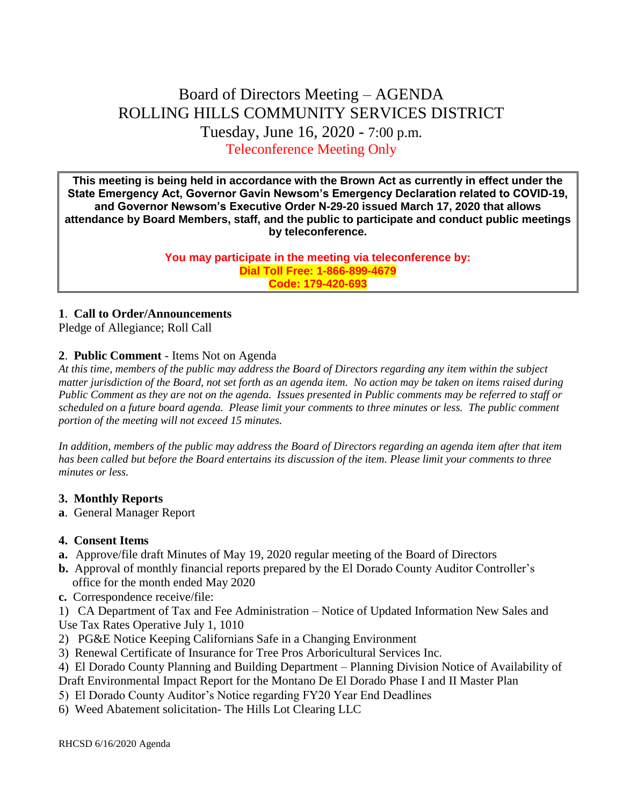# Board of Directors Meeting – AGENDA ROLLING HILLS COMMUNITY SERVICES DISTRICT Tuesday, June 16, 2020 - 7:00 p.m. Teleconference Meeting Only

**This meeting is being held in accordance with the Brown Act as currently in effect under the State Emergency Act, Governor Gavin Newsom's Emergency Declaration related to COVID-19, and Governor Newsom's Executive Order N-29-20 issued March 17, 2020 that allows attendance by Board Members, staff, and the public to participate and conduct public meetings by teleconference.**

> **You may participate in the meeting via teleconference by: Dial Toll Free: 1-866-899-4679 Code: 179-420-693**

### **1**. **Call to Order/Announcements**

Pledge of Allegiance; Roll Call

# **2**. **Public Comment** - Items Not on Agenda

*At this time, members of the public may address the Board of Directors regarding any item within the subject matter jurisdiction of the Board, not set forth as an agenda item. No action may be taken on items raised during Public Comment as they are not on the agenda. Issues presented in Public comments may be referred to staff or scheduled on a future board agenda. Please limit your comments to three minutes or less. The public comment portion of the meeting will not exceed 15 minutes.*

*In addition, members of the public may address the Board of Directors regarding an agenda item after that item has been called but before the Board entertains its discussion of the item. Please limit your comments to three minutes or less.*

#### **3. Monthly Reports**

**a**. General Manager Report

#### **4. Consent Items**

- **a.** Approve/file draft Minutes of May 19, 2020 regular meeting of the Board of Directors
- **b.** Approval of monthly financial reports prepared by the El Dorado County Auditor Controller's office for the month ended May 2020
- **c.** Correspondence receive/file:

1) CA Department of Tax and Fee Administration – Notice of Updated Information New Sales and Use Tax Rates Operative July 1, 1010

- 2) PG&E Notice Keeping Californians Safe in a Changing Environment
- 3) Renewal Certificate of Insurance for Tree Pros Arboricultural Services Inc.
- 4) El Dorado County Planning and Building Department Planning Division Notice of Availability of

Draft Environmental Impact Report for the Montano De El Dorado Phase I and II Master Plan

- 5) El Dorado County Auditor's Notice regarding FY20 Year End Deadlines
- 6) Weed Abatement solicitation- The Hills Lot Clearing LLC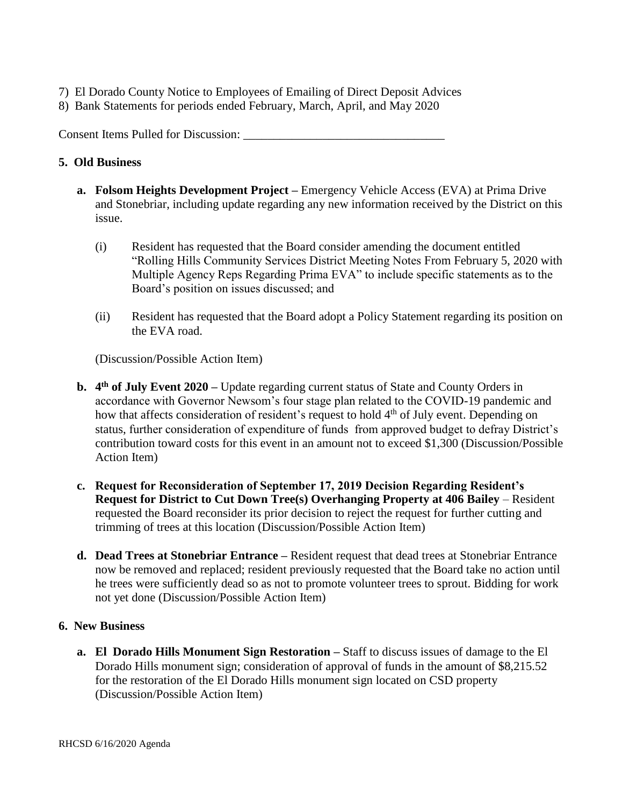- 7) El Dorado County Notice to Employees of Emailing of Direct Deposit Advices
- 8) Bank Statements for periods ended February, March, April, and May 2020

Consent Items Pulled for Discussion: \_\_\_\_\_\_\_\_\_\_\_\_\_\_\_\_\_\_\_\_\_\_\_\_\_\_\_\_\_\_\_\_\_

#### **5. Old Business**

- **a. Folsom Heights Development Project –** Emergency Vehicle Access (EVA) at Prima Drive and Stonebriar, including update regarding any new information received by the District on this issue.
	- (i) Resident has requested that the Board consider amending the document entitled "Rolling Hills Community Services District Meeting Notes From February 5, 2020 with Multiple Agency Reps Regarding Prima EVA" to include specific statements as to the Board's position on issues discussed; and
	- (ii) Resident has requested that the Board adopt a Policy Statement regarding its position on the EVA road.

(Discussion/Possible Action Item)

- **b.** 4<sup>th</sup> of July Event 2020 Update regarding current status of State and County Orders in accordance with Governor Newsom's four stage plan related to the COVID-19 pandemic and how that affects consideration of resident's request to hold 4<sup>th</sup> of July event. Depending on status, further consideration of expenditure of funds from approved budget to defray District's contribution toward costs for this event in an amount not to exceed \$1,300 (Discussion/Possible Action Item)
- **c. Request for Reconsideration of September 17, 2019 Decision Regarding Resident's Request for District to Cut Down Tree(s) Overhanging Property at 406 Bailey** – Resident requested the Board reconsider its prior decision to reject the request for further cutting and trimming of trees at this location (Discussion/Possible Action Item)
- **d. Dead Trees at Stonebriar Entrance –** Resident request that dead trees at Stonebriar Entrance now be removed and replaced; resident previously requested that the Board take no action until he trees were sufficiently dead so as not to promote volunteer trees to sprout. Bidding for work not yet done (Discussion/Possible Action Item)

#### **6. New Business**

**a. El Dorado Hills Monument Sign Restoration –** Staff to discuss issues of damage to the El Dorado Hills monument sign; consideration of approval of funds in the amount of \$8,215.52 for the restoration of the El Dorado Hills monument sign located on CSD property (Discussion/Possible Action Item)